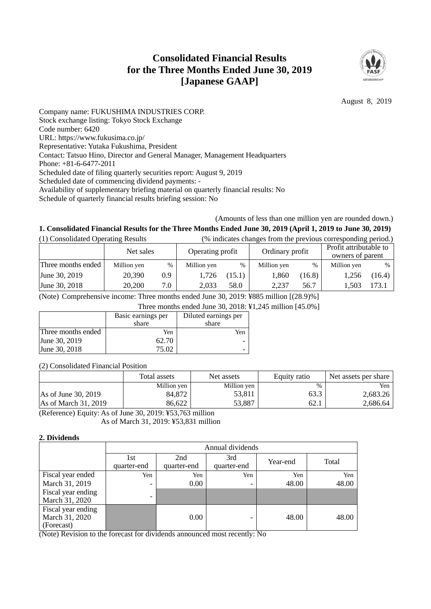# **Consolidated Financial Results for the Three Months Ended June 30, 2019 [Japanese GAAP]**



August 8, 2019

Company name: FUKUSHIMA INDUSTRIES CORP. Stock exchange listing: Tokyo Stock Exchange Code number: 6420 URL: https://www.fukusima.co.jp/ Representative: Yutaka Fukushima, President Contact: Tatsuo Hino, Director and General Manager, Management Headquarters Phone: +81-6-6477-2011 Scheduled date of filing quarterly securities report: August 9, 2019 Scheduled date of commencing dividend payments: - Availability of supplementary briefing material on quarterly financial results: No Schedule of quarterly financial results briefing session: No

## (Amounts of less than one million yen are rounded down.)

# **1. Consolidated Financial Results for the Three Months Ended June 30, 2019 (April 1, 2019 to June 30, 2019)**

| (1) Consolidated Operating Results |             |      |                  |               | (% indicates changes from the previous corresponding period.) |        |                                            |        |
|------------------------------------|-------------|------|------------------|---------------|---------------------------------------------------------------|--------|--------------------------------------------|--------|
|                                    | Net sales   |      | Operating profit |               | Ordinary profit                                               |        | Profit attributable to<br>owners of parent |        |
| Three months ended                 | Million yen | $\%$ | Million yen      | $\frac{0}{0}$ | Million yen                                                   | %      | Million yen                                | $\%$   |
| June 30, 2019                      | 20,390      | 0.9  | 1.726            | (15.1)        | 1,860                                                         | (16.8) | 1.256                                      | (16.4) |
| June 30, 2018                      | 20,200      | 7.0  | 2.033            | 58.0          | 2.237                                                         | 56.7   | 1.503                                      | 173.1  |

(Note) Comprehensive income: Three months ended June 30, 2019: ¥885 million [(28.9)%]

Three months ended June 30, 2018: ¥1,245 million [45.0%]

|                    | Basic earnings per | Diluted earnings per |
|--------------------|--------------------|----------------------|
|                    | share              | share                |
| Three months ended | Yen                | Yen                  |
| June 30, 2019      | 62.70              |                      |
| June 30, 2018      | 75.02              |                      |

(2) Consolidated Financial Position

|                               | Total assets | Net assets  | Equity ratio | Net assets per share |
|-------------------------------|--------------|-------------|--------------|----------------------|
|                               | Million yen  | Million yen | $\%$         | Yen                  |
| $\text{As of June } 30, 2019$ | 84.872       | 53,811      | 63.3         | 2,683.26             |
| $\text{As}$ of March 31, 2019 | 86.622       | 53,887      | 62.1         | 2,686.64             |

(Reference) Equity: As of June 30, 2019: ¥53,763 million As of March 31, 2019: ¥53,831 million

#### **2. Dividends**

|                                                    |                          | Annual dividends   |                    |          |       |  |
|----------------------------------------------------|--------------------------|--------------------|--------------------|----------|-------|--|
|                                                    | 1st<br>quarter-end       | 2nd<br>quarter-end | 3rd<br>quarter-end | Year-end | Total |  |
| Fiscal year ended                                  | Yen                      | Yen                | Yen                | Yen      | Yen   |  |
| March 31, 2019                                     | $\overline{\phantom{0}}$ | 0.00               |                    | 48.00    | 48.00 |  |
| Fiscal year ending<br>March 31, 2020               | -                        |                    |                    |          |       |  |
| Fiscal year ending<br>March 31, 2020<br>(Forecast) | -- - -                   | 0.00               |                    | 48.00    | 48.00 |  |

(Note) Revision to the forecast for dividends announced most recently: No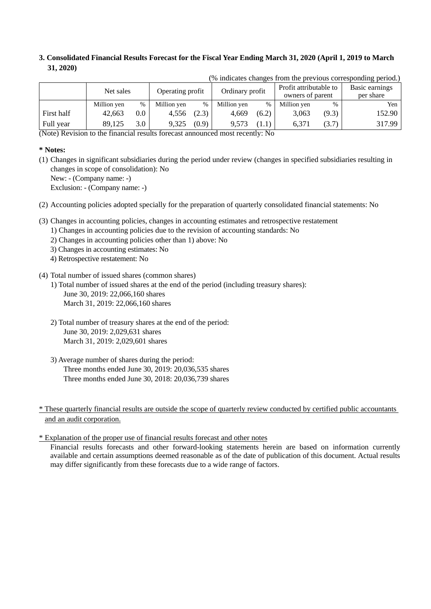# **3. Consolidated Financial Results Forecast for the Fiscal Year Ending March 31, 2020 (April 1, 2019 to March 31, 2020)**

|            | Net sales   |         | Operating profit |       | Ordinary profit |       | Profit attributable to<br>owners of parent |       | Basic earnings<br>per share |
|------------|-------------|---------|------------------|-------|-----------------|-------|--------------------------------------------|-------|-----------------------------|
|            | Million yen | $\%$    | Million yen      | %     | Million yen     | $\%$  | Million yen                                | $\%$  | Yen                         |
| First half | 42.663      | $0.0\,$ | 4,556            | (2.3) | 4.669           | (6.2) | 3.063                                      | (9.3) | 152.90                      |
| Full year  | 89.125      | 3.0     | 9.325            | (0.9) | 9.573           |       | 6.371                                      | (3.7) | 317.99                      |

(% indicates changes from the previous corresponding period.)

(Note) Revision to the financial results forecast announced most recently: No

### **\* Notes:**

(1) Changes in significant subsidiaries during the period under review (changes in specified subsidiaries resulting in changes in scope of consolidation): No

New: - (Company name: -)

Exclusion: - (Company name: -)

(2) Accounting policies adopted specially for the preparation of quarterly consolidated financial statements: No

- (3) Changes in accounting policies, changes in accounting estimates and retrospective restatement
	- 1) Changes in accounting policies due to the revision of accounting standards: No
	- 2) Changes in accounting policies other than 1) above: No
	- 3) Changes in accounting estimates: No
	- 4) Retrospective restatement: No
- (4) Total number of issued shares (common shares)
	- 1) Total number of issued shares at the end of the period (including treasury shares): June 30, 2019: 22,066,160 shares March 31, 2019: 22,066,160 shares
	- 2) Total number of treasury shares at the end of the period: June 30, 2019: 2,029,631 shares March 31, 2019: 2,029,601 shares
	- 3) Average number of shares during the period: Three months ended June 30, 2019: 20,036,535 shares Three months ended June 30, 2018: 20,036,739 shares

\* These quarterly financial results are outside the scope of quarterly review conducted by certified public accountants and an audit corporation.

\* Explanation of the proper use of financial results forecast and other notes

Financial results forecasts and other forward-looking statements herein are based on information currently available and certain assumptions deemed reasonable as of the date of publication of this document. Actual results may differ significantly from these forecasts due to a wide range of factors.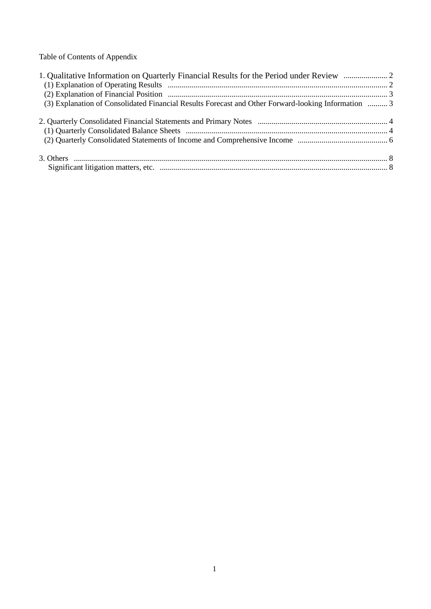Table of Contents of Appendix

| (3) Explanation of Consolidated Financial Results Forecast and Other Forward-looking Information  3 |  |
|-----------------------------------------------------------------------------------------------------|--|
|                                                                                                     |  |
|                                                                                                     |  |
|                                                                                                     |  |
|                                                                                                     |  |
|                                                                                                     |  |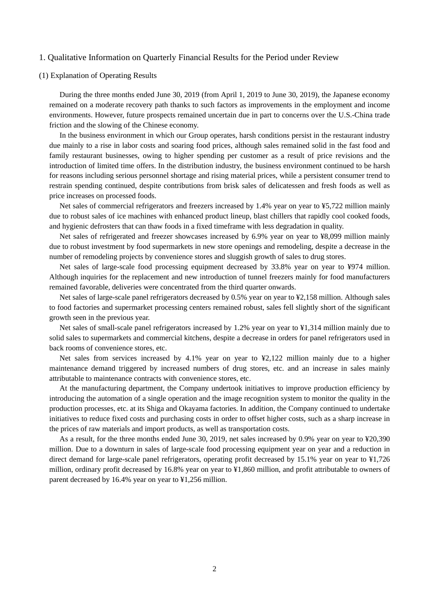#### 1. Qualitative Information on Quarterly Financial Results for the Period under Review

### (1) Explanation of Operating Results

During the three months ended June 30, 2019 (from April 1, 2019 to June 30, 2019), the Japanese economy remained on a moderate recovery path thanks to such factors as improvements in the employment and income environments. However, future prospects remained uncertain due in part to concerns over the U.S.-China trade friction and the slowing of the Chinese economy.

In the business environment in which our Group operates, harsh conditions persist in the restaurant industry due mainly to a rise in labor costs and soaring food prices, although sales remained solid in the fast food and family restaurant businesses, owing to higher spending per customer as a result of price revisions and the introduction of limited time offers. In the distribution industry, the business environment continued to be harsh for reasons including serious personnel shortage and rising material prices, while a persistent consumer trend to restrain spending continued, despite contributions from brisk sales of delicatessen and fresh foods as well as price increases on processed foods.

Net sales of commercial refrigerators and freezers increased by 1.4% year on year to ¥5,722 million mainly due to robust sales of ice machines with enhanced product lineup, blast chillers that rapidly cool cooked foods, and hygienic defrosters that can thaw foods in a fixed timeframe with less degradation in quality.

Net sales of refrigerated and freezer showcases increased by 6.9% year on year to ¥8,099 million mainly due to robust investment by food supermarkets in new store openings and remodeling, despite a decrease in the number of remodeling projects by convenience stores and sluggish growth of sales to drug stores.

Net sales of large-scale food processing equipment decreased by 33.8% year on year to ¥974 million. Although inquiries for the replacement and new introduction of tunnel freezers mainly for food manufacturers remained favorable, deliveries were concentrated from the third quarter onwards.

Net sales of large-scale panel refrigerators decreased by 0.5% year on year to ¥2,158 million. Although sales to food factories and supermarket processing centers remained robust, sales fell slightly short of the significant growth seen in the previous year.

Net sales of small-scale panel refrigerators increased by 1.2% year on year to ¥1,314 million mainly due to solid sales to supermarkets and commercial kitchens, despite a decrease in orders for panel refrigerators used in back rooms of convenience stores, etc.

Net sales from services increased by 4.1% year on year to  $\frac{42,122}{2}$  million mainly due to a higher maintenance demand triggered by increased numbers of drug stores, etc. and an increase in sales mainly attributable to maintenance contracts with convenience stores, etc.

At the manufacturing department, the Company undertook initiatives to improve production efficiency by introducing the automation of a single operation and the image recognition system to monitor the quality in the production processes, etc. at its Shiga and Okayama factories. In addition, the Company continued to undertake initiatives to reduce fixed costs and purchasing costs in order to offset higher costs, such as a sharp increase in the prices of raw materials and import products, as well as transportation costs.

As a result, for the three months ended June 30, 2019, net sales increased by 0.9% year on year to ¥20,390 million. Due to a downturn in sales of large-scale food processing equipment year on year and a reduction in direct demand for large-scale panel refrigerators, operating profit decreased by 15.1% year on year to ¥1,726 million, ordinary profit decreased by 16.8% year on year to ¥1,860 million, and profit attributable to owners of parent decreased by 16.4% year on year to ¥1,256 million.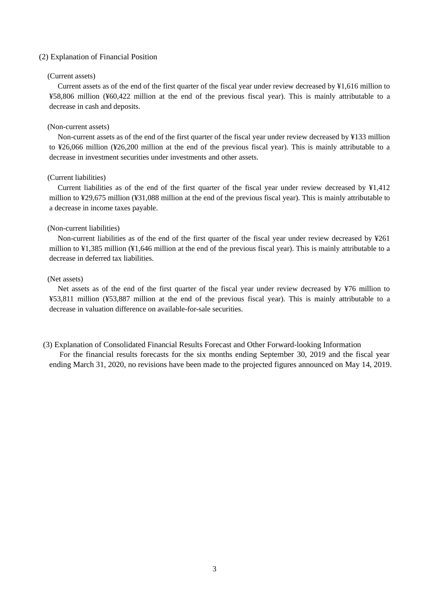#### (2) Explanation of Financial Position

#### (Current assets)

Current assets as of the end of the first quarter of the fiscal year under review decreased by ¥1,616 million to ¥58,806 million (¥60,422 million at the end of the previous fiscal year). This is mainly attributable to a decrease in cash and deposits.

#### (Non-current assets)

Non-current assets as of the end of the first quarter of the fiscal year under review decreased by ¥133 million to ¥26,066 million (¥26,200 million at the end of the previous fiscal year). This is mainly attributable to a decrease in investment securities under investments and other assets.

### (Current liabilities)

Current liabilities as of the end of the first quarter of the fiscal year under review decreased by ¥1,412 million to ¥29,675 million (¥31,088 million at the end of the previous fiscal year). This is mainly attributable to a decrease in income taxes payable.

#### (Non-current liabilities)

Non-current liabilities as of the end of the first quarter of the fiscal year under review decreased by ¥261 million to ¥1,385 million (¥1,646 million at the end of the previous fiscal year). This is mainly attributable to a decrease in deferred tax liabilities.

#### (Net assets)

Net assets as of the end of the first quarter of the fiscal year under review decreased by ¥76 million to ¥53,811 million (¥53,887 million at the end of the previous fiscal year). This is mainly attributable to a decrease in valuation difference on available-for-sale securities.

(3) Explanation of Consolidated Financial Results Forecast and Other Forward-looking Information For the financial results forecasts for the six months ending September 30, 2019 and the fiscal year ending March 31, 2020, no revisions have been made to the projected figures announced on May 14, 2019.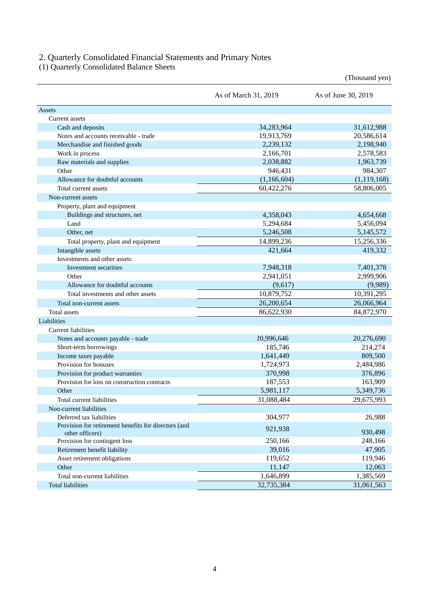## 2. Quarterly Consolidated Financial Statements and Primary Notes

(1) Quarterly Consolidated Balance Sheets

|                                                                         |                      | (Thousand yen)      |
|-------------------------------------------------------------------------|----------------------|---------------------|
|                                                                         | As of March 31, 2019 | As of June 30, 2019 |
| Assets                                                                  |                      |                     |
| Current assets                                                          |                      |                     |
| Cash and deposits                                                       | 34,283,964           | 31,612,988          |
| Notes and accounts receivable - trade                                   | 19,913,769           | 20,586,614          |
| Merchandise and finished goods                                          | 2,239,132            | 2,198,940           |
| Work in process                                                         | 2,166,701            | 2,578,583           |
| Raw materials and supplies                                              | 2,038,882            | 1,963,739           |
| Other                                                                   | 946,431              | 984,307             |
| Allowance for doubtful accounts                                         | (1,166,604)          | (1, 119, 168)       |
| Total current assets                                                    | 60,422,276           | 58,806,005          |
| Non-current assets                                                      |                      |                     |
| Property, plant and equipment                                           |                      |                     |
| Buildings and structures, net                                           | 4,358,043            | 4,654,668           |
| Land                                                                    | 5,294,684            | 5,456,094           |
| Other, net                                                              | 5,246,508            | 5,145,572           |
| Total property, plant and equipment                                     | 14,899,236           | 15,256,336          |
| Intangible assets                                                       | 421,664              | 419,332             |
| Investments and other assets                                            |                      |                     |
| Investment securities                                                   | 7,948,318            | 7,401,378           |
| Other                                                                   | 2,941,051            | 2,999,906           |
| Allowance for doubtful accounts                                         | (9,617)              | (9,989)             |
| Total investments and other assets                                      | 10,879,752           | 10,391,295          |
| Total non-current assets                                                | 26,200,654           | 26,066,964          |
| <b>Total assets</b>                                                     | 86,622,930           | 84,872,970          |
| Liabilities                                                             |                      |                     |
| <b>Current liabilities</b>                                              |                      |                     |
| Notes and accounts payable - trade                                      | 20,996,646           | 20,276,690          |
| Short-term borrowings                                                   | 185,746              | 214,274             |
| Income taxes payable                                                    | 1,641,449            | 809,500             |
| Provision for bonuses                                                   | 1,724,973            | 2,484,986           |
| Provision for product warranties                                        | 370,998              | 376,896             |
| Provision for loss on construction contracts                            | 187,553              | 163,909             |
| Other                                                                   | 5,981,117            | 5,349,736           |
| Total current liabilities                                               | 31,088,484           | 29,675,993          |
| Non-current liabilities                                                 |                      |                     |
| Deferred tax liabilities                                                | 304,977              | 26,988              |
| Provision for retirement benefits for directors (and<br>other officers) | 921,938              | 930,498             |
| Provision for contingent loss                                           | 250,166              | 248,166             |
| Retirement benefit liability                                            | 39,016               | 47,905              |
| Asset retirement obligations                                            | 119,652              | 119,946             |
| Other                                                                   | 11,147               | 12,063              |
| Total non-current liabilities                                           | 1,646,899            | 1,385,569           |
| <b>Total liabilities</b>                                                | 32,735,384           | 31,061,563          |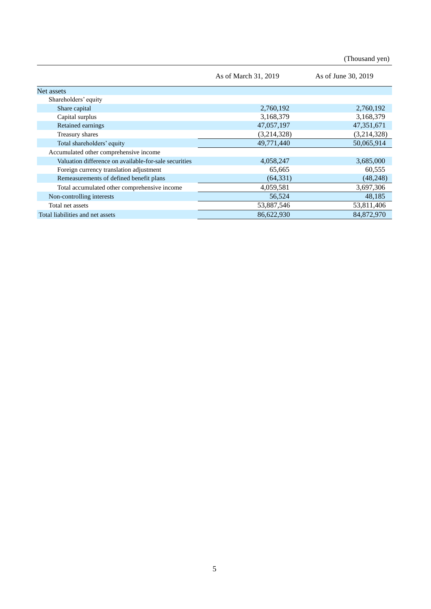(Thousand yen)

|                                                       | As of March 31, 2019 | As of June 30, 2019 |
|-------------------------------------------------------|----------------------|---------------------|
| Net assets                                            |                      |                     |
| Shareholders' equity                                  |                      |                     |
| Share capital                                         | 2,760,192            | 2,760,192           |
| Capital surplus                                       | 3,168,379            | 3,168,379           |
| <b>Retained earnings</b>                              | 47,057,197           | 47,351,671          |
| Treasury shares                                       | (3,214,328)          | (3,214,328)         |
| Total shareholders' equity                            | 49,771,440           | 50,065,914          |
| Accumulated other comprehensive income                |                      |                     |
| Valuation difference on available-for-sale securities | 4,058,247            | 3,685,000           |
| Foreign currency translation adjustment               | 65,665               | 60,555              |
| Remeasurements of defined benefit plans               | (64, 331)            | (48,248)            |
| Total accumulated other comprehensive income          | 4,059,581            | 3,697,306           |
| Non-controlling interests                             | 56,524               | 48,185              |
| Total net assets                                      | 53,887,546           | 53,811,406          |
| Total liabilities and net assets                      | 86,622,930           | 84,872,970          |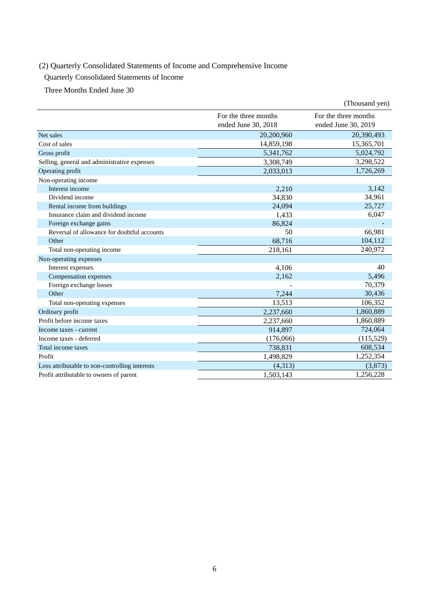# (2) Quarterly Consolidated Statements of Income and Comprehensive Income

Quarterly Consolidated Statements of Income

Three Months Ended June 30

|                                                |                                             | (Thousand yen)                              |
|------------------------------------------------|---------------------------------------------|---------------------------------------------|
|                                                | For the three months<br>ended June 30, 2018 | For the three months<br>ended June 30, 2019 |
| Net sales                                      | 20,200,960                                  | 20,390,493                                  |
| Cost of sales                                  | 14,859,198                                  | 15,365,701                                  |
| Gross profit                                   | 5,341,762                                   | 5,024,792                                   |
| Selling, general and administrative expenses   | 3,308,749                                   | 3,298,522                                   |
| Operating profit                               | 2,033,013                                   | 1,726,269                                   |
| Non-operating income                           |                                             |                                             |
| Interest income                                | 2,210                                       | 3,142                                       |
| Dividend income                                | 34,830                                      | 34,961                                      |
| Rental income from buildings                   | 24,094                                      | 25,727                                      |
| Insurance claim and dividend income            | 1,433                                       | 6,047                                       |
| Foreign exchange gains                         | 86,824                                      |                                             |
| Reversal of allowance for doubtful accounts    | 50                                          | 66,981                                      |
| Other                                          | 68,716                                      | 104,112                                     |
| Total non-operating income                     | 218,161                                     | 240,972                                     |
| Non-operating expenses                         |                                             |                                             |
| Interest expenses                              | 4,106                                       | 40                                          |
| Compensation expenses                          | 2,162                                       | 5,496                                       |
| Foreign exchange losses                        |                                             | 70,379                                      |
| Other                                          | 7,244                                       | 30,436                                      |
| Total non-operating expenses                   | 13,513                                      | 106,352                                     |
| Ordinary profit                                | 2,237,660                                   | 1,860,889                                   |
| Profit before income taxes                     | 2,237,660                                   | 1,860,889                                   |
| Income taxes - current                         | 914,897                                     | 724,064                                     |
| Income taxes - deferred                        | (176,066)                                   | (115,529)                                   |
| Total income taxes                             | 738,831                                     | 608,534                                     |
| Profit                                         | 1,498,829                                   | 1,252,354                                   |
| Loss attributable to non-controlling interests | (4,313)                                     | (3,873)                                     |
| Profit attributable to owners of parent        | 1,503,143                                   | 1,256,228                                   |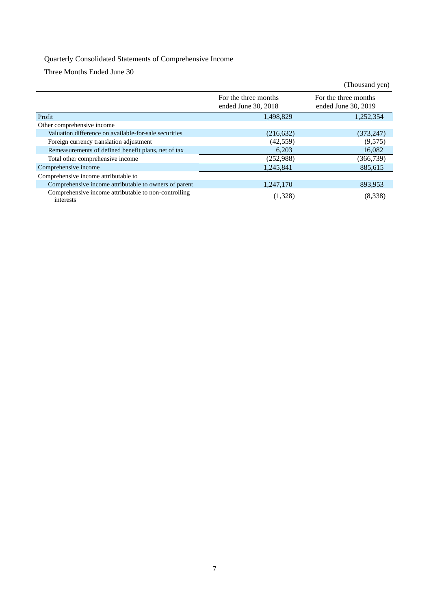# Quarterly Consolidated Statements of Comprehensive Income

Three Months Ended June 30

|                                                                   |                                             | (Thousand yen)                              |
|-------------------------------------------------------------------|---------------------------------------------|---------------------------------------------|
|                                                                   | For the three months<br>ended June 30, 2018 | For the three months<br>ended June 30, 2019 |
| Profit                                                            | 1,498,829                                   | 1,252,354                                   |
| Other comprehensive income                                        |                                             |                                             |
| Valuation difference on available-for-sale securities             | (216, 632)                                  | (373, 247)                                  |
| Foreign currency translation adjustment                           | (42, 559)                                   | (9,575)                                     |
| Remeasurements of defined benefit plans, net of tax               | 6,203                                       | 16,082                                      |
| Total other comprehensive income                                  | (252,988)                                   | (366,739)                                   |
| Comprehensive income                                              | 1,245,841                                   | 885,615                                     |
| Comprehensive income attributable to                              |                                             |                                             |
| Comprehensive income attributable to owners of parent             | 1,247,170                                   | 893,953                                     |
| Comprehensive income attributable to non-controlling<br>interests | (1,328)                                     | (8,338)                                     |